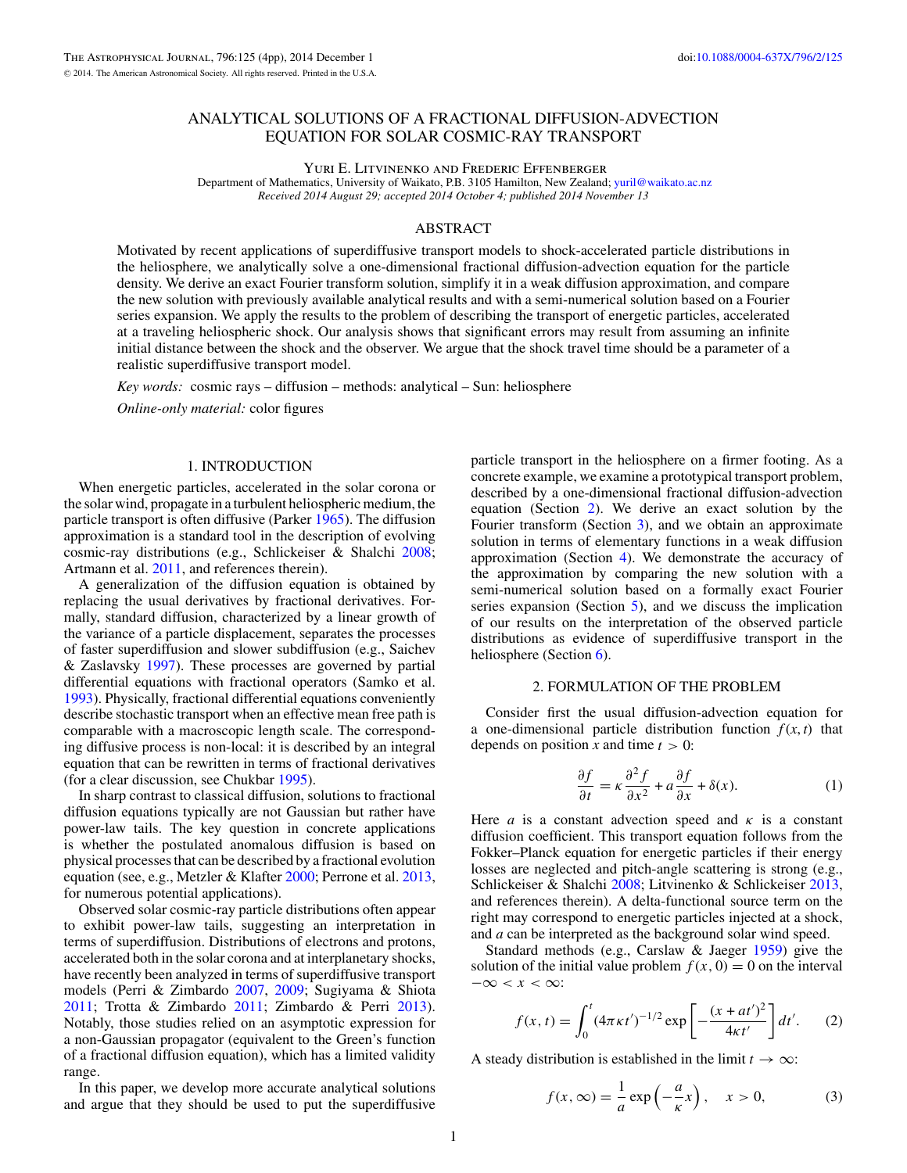# <span id="page-0-0"></span>ANALYTICAL SOLUTIONS OF A FRACTIONAL DIFFUSION-ADVECTION EQUATION FOR SOLAR COSMIC-RAY TRANSPORT

Yuri E. Litvinenko and Frederic Effenberger

Department of Mathematics, University of Waikato, P.B. 3105 Hamilton, New Zealand; [yuril@waikato.ac.nz](mailto:yuril@waikato.ac.nz) *Received 2014 August 29; accepted 2014 October 4; published 2014 November 13*

# ABSTRACT

Motivated by recent applications of superdiffusive transport models to shock-accelerated particle distributions in the heliosphere, we analytically solve a one-dimensional fractional diffusion-advection equation for the particle density. We derive an exact Fourier transform solution, simplify it in a weak diffusion approximation, and compare the new solution with previously available analytical results and with a semi-numerical solution based on a Fourier series expansion. We apply the results to the problem of describing the transport of energetic particles, accelerated at a traveling heliospheric shock. Our analysis shows that significant errors may result from assuming an infinite initial distance between the shock and the observer. We argue that the shock travel time should be a parameter of a realistic superdiffusive transport model.

*Key words:* cosmic rays – diffusion – methods: analytical – Sun: heliosphere

*Online-only material:* color figures

## 1. INTRODUCTION

When energetic particles, accelerated in the solar corona or the solar wind, propagate in a turbulent heliospheric medium, the particle transport is often diffusive (Parker [1965\)](#page-3-0). The diffusion approximation is a standard tool in the description of evolving cosmic-ray distributions (e.g., Schlickeiser & Shalchi [2008;](#page-3-0) Artmann et al. [2011,](#page-3-0) and references therein).

A generalization of the diffusion equation is obtained by replacing the usual derivatives by fractional derivatives. Formally, standard diffusion, characterized by a linear growth of the variance of a particle displacement, separates the processes of faster superdiffusion and slower subdiffusion (e.g., Saichev & Zaslavsky [1997\)](#page-3-0). These processes are governed by partial differential equations with fractional operators (Samko et al. [1993\)](#page-3-0). Physically, fractional differential equations conveniently describe stochastic transport when an effective mean free path is comparable with a macroscopic length scale. The corresponding diffusive process is non-local: it is described by an integral equation that can be rewritten in terms of fractional derivatives (for a clear discussion, see Chukbar [1995\)](#page-3-0).

In sharp contrast to classical diffusion, solutions to fractional diffusion equations typically are not Gaussian but rather have power-law tails. The key question in concrete applications is whether the postulated anomalous diffusion is based on physical processes that can be described by a fractional evolution equation (see, e.g., Metzler & Klafter [2000;](#page-3-0) Perrone et al. [2013,](#page-3-0) for numerous potential applications).

Observed solar cosmic-ray particle distributions often appear to exhibit power-law tails, suggesting an interpretation in terms of superdiffusion. Distributions of electrons and protons, accelerated both in the solar corona and at interplanetary shocks, have recently been analyzed in terms of superdiffusive transport models (Perri & Zimbardo [2007,](#page-3-0) [2009;](#page-3-0) Sugiyama & Shiota [2011;](#page-3-0) Trotta & Zimbardo [2011;](#page-3-0) Zimbardo & Perri [2013\)](#page-3-0). Notably, those studies relied on an asymptotic expression for a non-Gaussian propagator (equivalent to the Green's function of a fractional diffusion equation), which has a limited validity range.

In this paper, we develop more accurate analytical solutions and argue that they should be used to put the superdiffusive

particle transport in the heliosphere on a firmer footing. As a concrete example, we examine a prototypical transport problem, described by a one-dimensional fractional diffusion-advection equation (Section 2). We derive an exact solution by the Fourier transform (Section [3\)](#page-1-0), and we obtain an approximate solution in terms of elementary functions in a weak diffusion approximation (Section [4\)](#page-2-0). We demonstrate the accuracy of the approximation by comparing the new solution with a semi-numerical solution based on a formally exact Fourier series expansion (Section [5\)](#page-2-0), and we discuss the implication of our results on the interpretation of the observed particle distributions as evidence of superdiffusive transport in the heliosphere (Section [6\)](#page-3-0).

### 2. FORMULATION OF THE PROBLEM

Consider first the usual diffusion-advection equation for a one-dimensional particle distribution function  $f(x, t)$  that depends on position *x* and time  $t > 0$ :

$$
\frac{\partial f}{\partial t} = \kappa \frac{\partial^2 f}{\partial x^2} + a \frac{\partial f}{\partial x} + \delta(x). \tag{1}
$$

Here *a* is a constant advection speed and  $\kappa$  is a constant diffusion coefficient. This transport equation follows from the Fokker–Planck equation for energetic particles if their energy losses are neglected and pitch-angle scattering is strong (e.g., Schlickeiser & Shalchi [2008;](#page-3-0) Litvinenko & Schlickeiser [2013,](#page-3-0) and references therein). A delta-functional source term on the right may correspond to energetic particles injected at a shock, and *a* can be interpreted as the background solar wind speed.

Standard methods (e.g., Carslaw & Jaeger [1959\)](#page-3-0) give the solution of the initial value problem  $f(x, 0) = 0$  on the interval −∞ *<x<* ∞:

$$
f(x,t) = \int_0^t (4\pi \kappa t')^{-1/2} \exp\left[-\frac{(x+at')^2}{4\kappa t'}\right] dt'. \tag{2}
$$

A steady distribution is established in the limit  $t \to \infty$ :

$$
f(x, \infty) = \frac{1}{a} \exp\left(-\frac{a}{\kappa}x\right), \quad x > 0,
$$
 (3)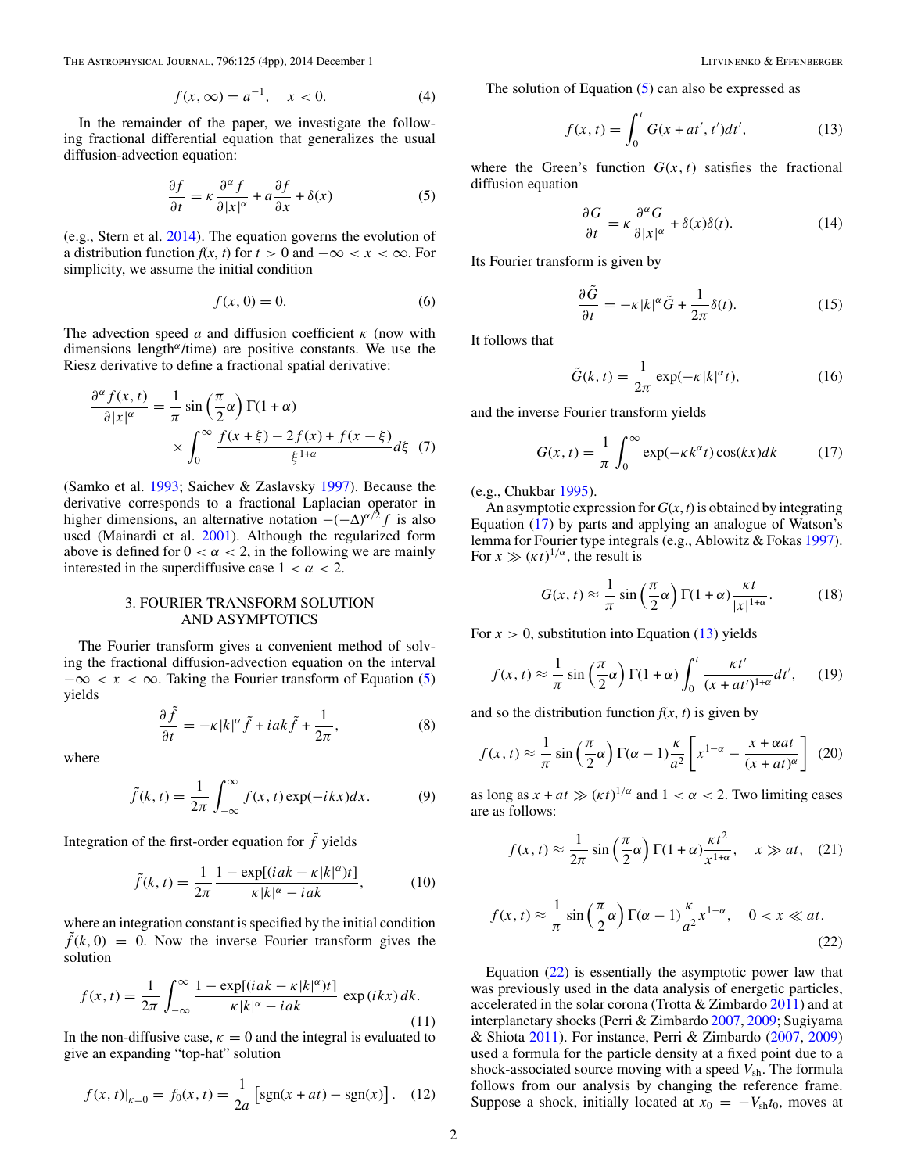<span id="page-1-0"></span>The Astrophysical Journal, 796:125 (4pp), 2014 December 1 Litvinenko & Effenberger Litvinenko & Effenberger

$$
f(x, \infty) = a^{-1}, \quad x < 0. \tag{4}
$$

In the remainder of the paper, we investigate the following fractional differential equation that generalizes the usual diffusion-advection equation:

$$
\frac{\partial f}{\partial t} = \kappa \frac{\partial^{\alpha} f}{\partial |x|^{\alpha}} + a \frac{\partial f}{\partial x} + \delta(x) \tag{5}
$$

(e.g., Stern et al. [2014\)](#page-3-0). The equation governs the evolution of a distribution function  $f(x, t)$  for  $t > 0$  and  $-\infty < x < \infty$ . For simplicity, we assume the initial condition

$$
f(x,0) = 0.\t\t(6)
$$

The advection speed *a* and diffusion coefficient *κ* (now with dimensions length*<sup>α</sup>*/time) are positive constants. We use the Riesz derivative to define a fractional spatial derivative:

$$
\frac{\partial^{\alpha} f(x,t)}{\partial |x|^{\alpha}} = \frac{1}{\pi} \sin\left(\frac{\pi}{2}\alpha\right) \Gamma(1+\alpha) \times \int_0^\infty \frac{f(x+\xi) - 2f(x) + f(x-\xi)}{\xi^{1+\alpha}} d\xi \tag{7}
$$

(Samko et al. [1993;](#page-3-0) Saichev & Zaslavsky [1997\)](#page-3-0). Because the derivative corresponds to a fractional Laplacian operator in higher dimensions, an alternative notation  $-(-\Delta)^{\alpha/2} f$  is also used (Mainardi et al. [2001\)](#page-3-0). Although the regularized form above is defined for  $0 < \alpha < 2$ , in the following we are mainly interested in the superdiffusive case  $1 < \alpha < 2$ .

# 3. FOURIER TRANSFORM SOLUTION AND ASYMPTOTICS

The Fourier transform gives a convenient method of solving the fractional diffusion-advection equation on the interval  $-\infty < x < \infty$ . Taking the Fourier transform of Equation (5) yields

$$
\frac{\partial \tilde{f}}{\partial t} = -\kappa |k|^{\alpha} \tilde{f} + iak \tilde{f} + \frac{1}{2\pi},
$$
 (8)

where

$$
\tilde{f}(k,t) = \frac{1}{2\pi} \int_{-\infty}^{\infty} f(x,t) \exp(-ikx) dx.
$$
 (9)

Integration of the first-order equation for  $\tilde{f}$  yields

$$
\tilde{f}(k,t) = \frac{1}{2\pi} \frac{1 - \exp[(iak - \kappa |k|^{\alpha})t]}{\kappa |k|^{\alpha} - iak},
$$
\n(10)

where an integration constant is specified by the initial condition  $\tilde{f}(k, 0) = 0$ . Now the inverse Fourier transform gives the solution

$$
f(x,t) = \frac{1}{2\pi} \int_{-\infty}^{\infty} \frac{1 - \exp[(iak - \kappa |k|^{\alpha})t]}{\kappa |k|^{\alpha} - iak} \exp(ikx) dk.
$$
\n(11)

In the non-diffusive case,  $\kappa = 0$  and the integral is evaluated to give an expanding "top-hat" solution

$$
f(x, t)|_{x=0} = f_0(x, t) = \frac{1}{2a} \left[ sgn(x + at) - sgn(x) \right]. \tag{12}
$$

The solution of Equation  $(5)$  can also be expressed as

$$
f(x,t) = \int_0^t G(x + at', t')dt',
$$
 (13)

where the Green's function  $G(x, t)$  satisfies the fractional diffusion equation

$$
\frac{\partial G}{\partial t} = \kappa \frac{\partial^{\alpha} G}{\partial |x|^{\alpha}} + \delta(x)\delta(t). \tag{14}
$$

Its Fourier transform is given by

$$
\frac{\partial \tilde{G}}{\partial t} = -\kappa |k|^{\alpha} \tilde{G} + \frac{1}{2\pi} \delta(t). \tag{15}
$$

It follows that

$$
\tilde{G}(k,t) = \frac{1}{2\pi} \exp(-\kappa |k|^{\alpha} t),\tag{16}
$$

and the inverse Fourier transform yields

$$
G(x,t) = \frac{1}{\pi} \int_0^\infty \exp(-\kappa k^\alpha t) \cos(kx) dk \tag{17}
$$

(e.g., Chukbar [1995\)](#page-3-0).

An asymptotic expression for  $G(x, t)$  is obtained by integrating Equation (17) by parts and applying an analogue of Watson's lemma for Fourier type integrals (e.g., Ablowitz & Fokas [1997\)](#page-3-0). For  $x \gg (\kappa t)^{1/\alpha}$ , the result is

$$
G(x, t) \approx \frac{1}{\pi} \sin\left(\frac{\pi}{2}\alpha\right) \Gamma(1+\alpha) \frac{\kappa t}{|x|^{1+\alpha}}.
$$
 (18)

For  $x > 0$ , substitution into Equation (13) yields

$$
f(x,t) \approx \frac{1}{\pi} \sin\left(\frac{\pi}{2}\alpha\right) \Gamma(1+\alpha) \int_0^t \frac{\kappa t'}{(x+at')^{1+\alpha}} dt', \quad (19)
$$

and so the distribution function  $f(x, t)$  is given by

$$
f(x,t) \approx \frac{1}{\pi} \sin\left(\frac{\pi}{2}\alpha\right) \Gamma(\alpha - 1) \frac{\kappa}{a^2} \left[ x^{1-\alpha} - \frac{x + \alpha at}{(x + at)^{\alpha}} \right] \tag{20}
$$

as long as  $x + at \gg (\kappa t)^{1/\alpha}$  and  $1 < \alpha < 2$ . Two limiting cases are as follows:

$$
f(x,t) \approx \frac{1}{2\pi} \sin\left(\frac{\pi}{2}\alpha\right) \Gamma(1+\alpha) \frac{\kappa t^2}{x^{1+\alpha}}, \quad x \gg at, \quad (21)
$$

$$
f(x,t) \approx \frac{1}{\pi} \sin\left(\frac{\pi}{2}\alpha\right) \Gamma(\alpha - 1) \frac{\kappa}{a^2} x^{1-\alpha}, \quad 0 < x \ll at. \tag{22}
$$

Equation (22) is essentially the asymptotic power law that was previously used in the data analysis of energetic particles, accelerated in the solar corona (Trotta & Zimbardo [2011\)](#page-3-0) and at interplanetary shocks (Perri & Zimbardo [2007,](#page-3-0) [2009;](#page-3-0) Sugiyama & Shiota [2011\)](#page-3-0). For instance, Perri & Zimbardo [\(2007,](#page-3-0) [2009\)](#page-3-0) used a formula for the particle density at a fixed point due to a shock-associated source moving with a speed  $V_{\rm sh}$ . The formula follows from our analysis by changing the reference frame. Suppose a shock, initially located at  $\bar{x_0} = -V_{\text{sh}}t_0$ , moves at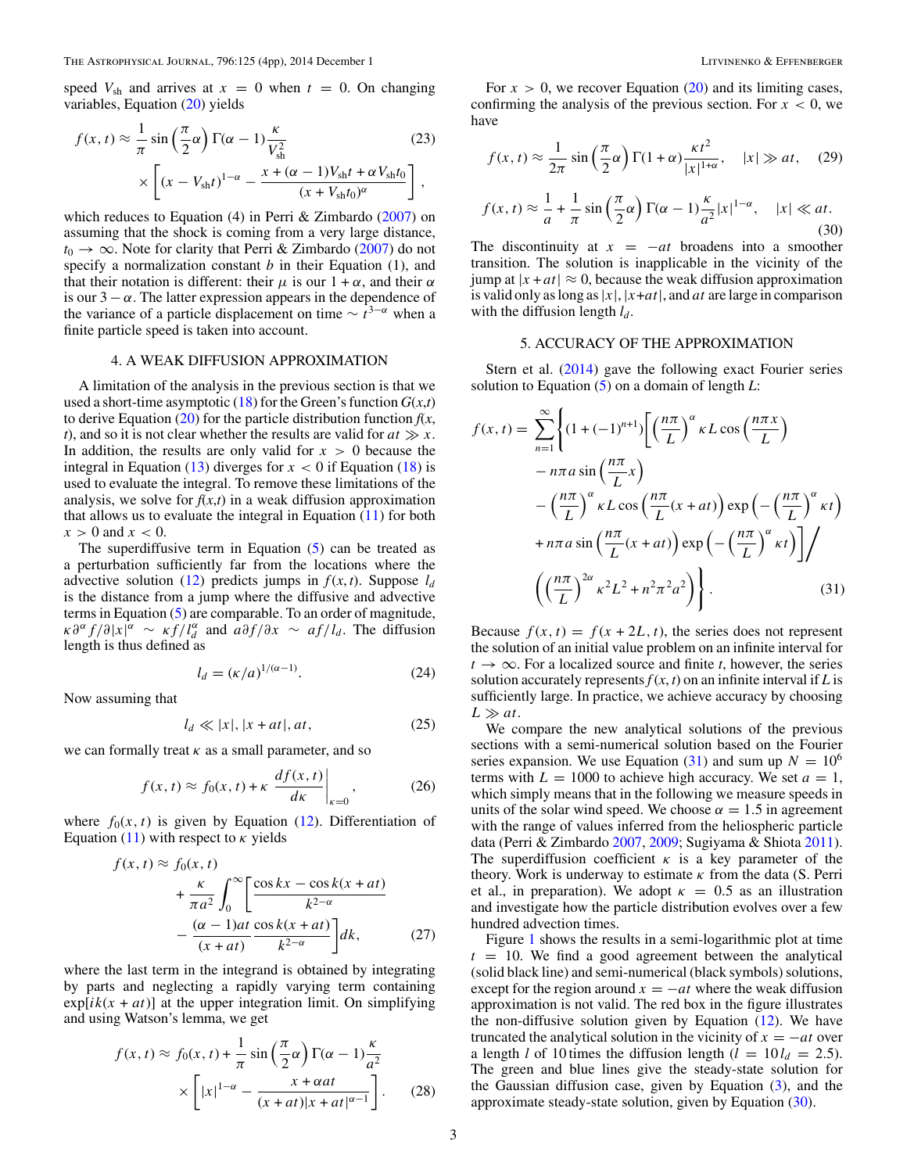<span id="page-2-0"></span>speed  $V_{\text{sh}}$  and arrives at  $x = 0$  when  $t = 0$ . On changing variables, Equation [\(20\)](#page-1-0) yields

$$
f(x, t) \approx \frac{1}{\pi} \sin\left(\frac{\pi}{2}\alpha\right) \Gamma(\alpha - 1) \frac{\kappa}{V_{\rm sh}^2}
$$
(23)  

$$
\times \left[ (x - V_{\rm sh}t)^{1-\alpha} - \frac{x + (\alpha - 1)V_{\rm sh}t + \alpha V_{\rm sh}t_0}{(x + V_{\rm sh}t_0)^{\alpha}} \right],
$$

which reduces to Equation (4) in Perri & Zimbardo [\(2007\)](#page-3-0) on assuming that the shock is coming from a very large distance,  $t_0 \rightarrow \infty$ . Note for clarity that Perri & Zimbardo [\(2007\)](#page-3-0) do not specify a normalization constant *b* in their Equation (1), and that their notation is different: their  $\mu$  is our  $1 + \alpha$ , and their  $\alpha$ is our  $3 - \alpha$ . The latter expression appears in the dependence of the variance of a particle displacement on time  $\sim t^{3-\alpha}$  when a finite particle speed is taken into account.

### 4. A WEAK DIFFUSION APPROXIMATION

A limitation of the analysis in the previous section is that we used a short-time asymptotic [\(18\)](#page-1-0) for the Green's function  $G(x,t)$ to derive Equation  $(20)$  for the particle distribution function  $f(x, \theta)$ *t*), and so it is not clear whether the results are valid for  $at \gg x$ . In addition, the results are only valid for  $x > 0$  because the integral in Equation  $(13)$  diverges for  $x < 0$  if Equation  $(18)$  is used to evaluate the integral. To remove these limitations of the analysis, we solve for  $f(x,t)$  in a weak diffusion approximation that allows us to evaluate the integral in Equation  $(11)$  for both  $x > 0$  and  $x < 0$ .

The superdiffusive term in Equation  $(5)$  can be treated as a perturbation sufficiently far from the locations where the advective solution [\(12\)](#page-1-0) predicts jumps in  $f(x, t)$ . Suppose  $l_d$ is the distance from a jump where the diffusive and advective terms in Equation [\(5\)](#page-1-0) are comparable. To an order of magnitude,  $\int \frac{d^d x}{dx^d}$   $\int \frac{d^d x}{dx^d}$  and  $\int \frac{d^d x}{dx^d}$   $\int \frac{d^d x}{dx^d}$  and  $\int \frac{d^d x}{dx^d}$   $\int \frac{d^d x}{dx^d}$  and  $\int \frac{d^d x}{dx^d}$   $\int \frac{d^d x}{dx^d}$  and  $\int \frac{d^d x}{dx^d}$   $\int \frac{d^d x}{dx^d}$  and  $\int \frac{d^d x}{dx^d}$   $\int \frac{d^d x}{dx^d$ length is thus defined as

$$
l_d = (\kappa/a)^{1/(\alpha-1)}.
$$
\n(24)

Now assuming that

$$
l_d \ll |x|, |x + at|, at,
$$
\n<sup>(25)</sup>

we can formally treat  $\kappa$  as a small parameter, and so

$$
f(x,t) \approx f_0(x,t) + \kappa \left. \frac{df(x,t)}{dx} \right|_{\kappa=0},\tag{26}
$$

where  $f_0(x, t)$  is given by Equation [\(12\)](#page-1-0). Differentiation of Equation [\(11\)](#page-1-0) with respect to  $\kappa$  yields

$$
f(x, t) \approx f_0(x, t)
$$
  
+  $\frac{\kappa}{\pi a^2} \int_0^\infty \left[ \frac{\cos kx - \cos k(x + at)}{k^{2-\alpha}} - \frac{(\alpha - 1)at}{(x + at)} \frac{\cos k(x + at)}{k^{2-\alpha}} \right] dk,$  (27)

where the last term in the integrand is obtained by integrating by parts and neglecting a rapidly varying term containing  $exp[i(k(x + at)]$  at the upper integration limit. On simplifying and using Watson's lemma, we get

$$
f(x,t) \approx f_0(x,t) + \frac{1}{\pi} \sin\left(\frac{\pi}{2}\alpha\right) \Gamma(\alpha - 1) \frac{\kappa}{a^2}
$$

$$
\times \left[ |x|^{1-\alpha} - \frac{x + \alpha at}{(x + at)|x + at|^{\alpha - 1}} \right].
$$
 (28)

For  $x > 0$ , we recover Equation [\(20\)](#page-1-0) and its limiting cases, confirming the analysis of the previous section. For  $x < 0$ , we have

$$
f(x, t) \approx \frac{1}{2\pi} \sin\left(\frac{\pi}{2}\alpha\right) \Gamma(1+\alpha) \frac{\kappa t^2}{|x|^{1+\alpha}}, \quad |x| \gg at, \quad (29)
$$

$$
f(x,t) \approx \frac{1}{a} + \frac{1}{\pi} \sin\left(\frac{\pi}{2}\alpha\right) \Gamma(\alpha - 1) \frac{\kappa}{a^2} |x|^{1-\alpha}, \quad |x| \ll at. \tag{30}
$$

The discontinuity at  $x = -at$  broadens into a smoother transition. The solution is inapplicable in the vicinity of the jump at  $|x + at| \approx 0$ , because the weak diffusion approximation is valid only as long as  $|x|$ ,  $|x+at|$ , and *at* are large in comparison with the diffusion length  $l_d$ .

### 5. ACCURACY OF THE APPROXIMATION

Stern et al. [\(2014\)](#page-3-0) gave the following exact Fourier series solution to Equation [\(5\)](#page-1-0) on a domain of length *L*:

$$
f(x,t) = \sum_{n=1}^{\infty} \left\{ (1 + (-1)^{n+1}) \left[ \left( \frac{n\pi}{L} \right)^{\alpha} \kappa L \cos \left( \frac{n\pi x}{L} \right) - n\pi a \sin \left( \frac{n\pi}{L} x \right) \right. \right.\left. - \left( \frac{n\pi}{L} \right)^{\alpha} \kappa L \cos \left( \frac{n\pi}{L} (x + at) \right) \exp \left( - \left( \frac{n\pi}{L} \right)^{\alpha} \kappa t \right) \right.\left. + n\pi a \sin \left( \frac{n\pi}{L} (x + at) \right) \exp \left( - \left( \frac{n\pi}{L} \right)^{\alpha} \kappa t \right) \right] \right/ \left. \left( \left( \frac{n\pi}{L} \right)^{2\alpha} \kappa^2 L^2 + n^2 \pi^2 a^2 \right) \right\}. \tag{31}
$$

Because  $f(x, t) = f(x + 2L, t)$ , the series does not represent the solution of an initial value problem on an infinite interval for  $t \rightarrow \infty$ . For a localized source and finite *t*, however, the series solution accurately represents  $f(x, t)$  on an infinite interval if *L* is sufficiently large. In practice, we achieve accuracy by choosing  $L \gg at$ .

We compare the new analytical solutions of the previous sections with a semi-numerical solution based on the Fourier series expansion. We use Equation  $(31)$  and sum up  $N = 10^6$ terms with  $L = 1000$  to achieve high accuracy. We set  $a = 1$ , which simply means that in the following we measure speeds in units of the solar wind speed. We choose  $\alpha = 1.5$  in agreement with the range of values inferred from the heliospheric particle data (Perri & Zimbardo [2007,](#page-3-0) [2009;](#page-3-0) Sugiyama & Shiota [2011\)](#page-3-0). The superdiffusion coefficient *κ* is a key parameter of the theory. Work is underway to estimate *κ* from the data (S. Perri et al., in preparation). We adopt  $\kappa = 0.5$  as an illustration and investigate how the particle distribution evolves over a few hundred advection times.

Figure [1](#page-3-0) shows the results in a semi-logarithmic plot at time  $t = 10$ . We find a good agreement between the analytical (solid black line) and semi-numerical (black symbols) solutions, except for the region around  $x = -at$  where the weak diffusion approximation is not valid. The red box in the figure illustrates the non-diffusive solution given by Equation  $(12)$ . We have truncated the analytical solution in the vicinity of  $x = -at$  over a length *l* of 10 times the diffusion length ( $l = 10 l_d = 2.5$ ). The green and blue lines give the steady-state solution for the Gaussian diffusion case, given by Equation [\(3\)](#page-0-0), and the approximate steady-state solution, given by Equation (30).